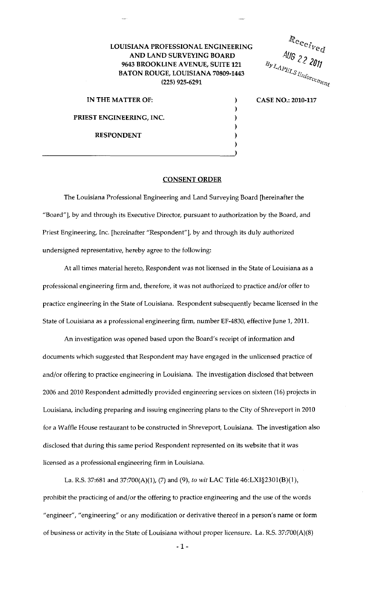## LOUISIANA PROFESSIONAL ENGINEERING AND LAND SURVEYING BOARD 9643 BROOKLINE A VENUE, SUITE 121 BATON ROUGE, LOUISIANA 70809-1443 (225) 925-6291

IN THE MATTER OF: PRIEST ENGINEERING, INC. RESPONDENT

 $\overline{\phantom{a}}$ 

Received  $R$ eceived<br>AUG 22 2011

CASE NO.: 2010-117

CONSENT ORDER

) ) ) ) ) )

The Louisiana Professional Engineering and Land Surveying Board [hereinafter the "Board"], by and through its Executive Director, pursuant to authorization by the Board, and Priest Engineering, Inc. [hereinafter "Respondent"], by and through its duly authorized undersigned representative, hereby agree to the following:

At all times material hereto, Respondent was not licensed in the State of Louisiana as a professional engineering firm and, therefore, it was not authorized to practice and/or offer to practice engineering in the State of Louisiana. Respondent subsequently became licensed in the State of Louisiana as a professional engineering firm, number EF-4830, effective June 1, 2011.

An investigation was opened based upon the Board's receipt of information and documents which suggested that Respondent may have engaged in the unlicensed practice of and/or offering to practice engineering in Louisiana. The investigation disclosed that between 2006 and 2010 Respondent admittedly provided engineering services on sixteen (16) projects in Louisiana, including preparing and issuing engineering plans to the City of Shreveport in 2010 for a Waffle House restaurant to be constructed in Shreveport, Louisiana. The investigation also disclosed that during this same period Respondent represented on its website that it was licensed as a professional engineering firm in Louisiana.

La. R.S. 37:681 and 37:700(A)(l), (7) and (9), *to wit* LAC Title 46:LXI§2301(8)(1), prohibit the practicing of and/or the offering to practice engineering and the use of the words "engineer", "engineering" or any modification or derivative thereof in a person's name or form of business or activity in the State of Louisiana without proper licensure. La. R.S. 37:700(A)(8)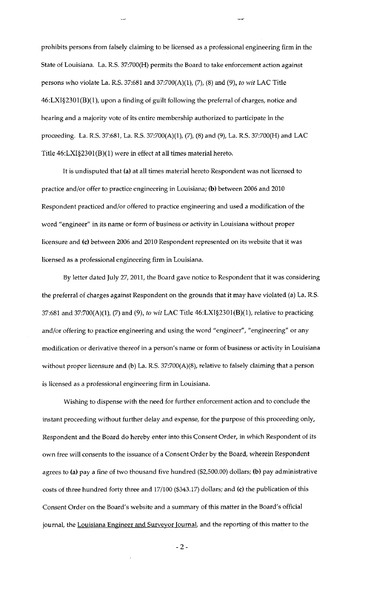prohibits persons from falsely claiming to be licensed as a professional engineering firm in the State of Louisiana. La. R.S. 37:700(H) permits the Board to take enforcement action against persons who violate La. R.S. 37:681 and 37:700(A)(1}, (7}, (8) and (9}, *to wit* LAC Title 46:LXI§2301(B)(l ), upon a finding of guilt following the preferral of charges, notice and hearing and a majority vote of its entire membership authorized to participate in the proceeding. La. R.S. 37:681, La. R.S. 37:700(A}(1), (7), (8) and (9), La. R.S. 37:700(H) and LAC Title 46:LXI§2301(B)(l) were in effect at all times material hereto.

It is undisputed that (a) at all times material hereto Respondent was not licensed to practice and/or offer to practice engineering in Louisiana; (b) between 2006 and 2010 Respondent practiced and/or offered to practice engineering and used a modification of the word "engineer" in its name or form of business or activity in Louisiana without proper licensure and (c) between 2006 and 2010 Respondent represented on its website that it was licensed as a professional engineering firm in Louisiana.

By letter dated July 27, 2011, the Board gave notice to Respondent that it was considering the preferral of charges against Respondent on the grounds that it may have violated (a) La. R.S. 37:681 and 37:700(A)(l), (7) and (9), *to wit* LAC Title 46:LXI§2301(B)(l), relative to practicing and/or offering to practice engineering and using the word "engineer", "engineering" or any modification or derivative thereof in a person's name or form of business or activity in Louisiana without proper licensure and (b) La. R.S. 37:700(A)(8), relative to falsely claiming that a person is licensed as a professional engineering firm in Louisiana.

Wishing to dispense with the need for further enforcement action and to conclude the instant proceeding without further delay and expense, for the purpose of this proceeding only, Respondent and the Board do hereby enter into this Consent Order, in which Respondent of its own free will consents to the issuance of a Consent Order by the Board, wherein Respondent agrees to (a) pay a fine of two thousand five hundred (\$2,500.00) dollars; (b) pay administrative costs of three hundred forty three and 17/100 (\$343.17) dollars; and (c) the publication of this Consent Order on the Board's website and a summary of this matter in the Board's official journal, the Louisiana Engineer and Surveyor Journal, and the reporting of this matter to the

-2-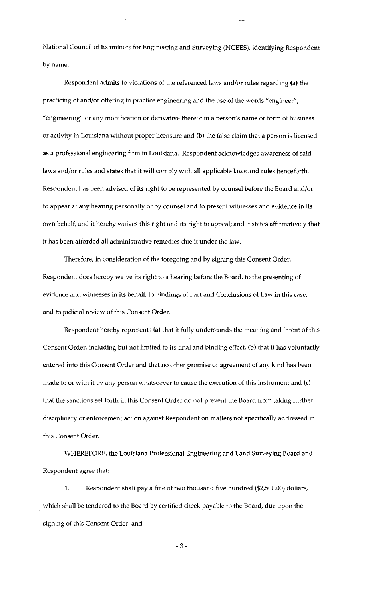National Council of Examiners for Engineering and Surveying (NCEES), identifying Respondent by name.

Respondent admits to violations of the referenced laws and/or rules regarding (a) the practicing of and/or offering to practice engineering and the use of the words "engineer", "engineering" or any modification or derivative thereof in a person's name or form of business or activity in Louisiana without proper licensure and (b) the false claim that a person is licensed as a professional engineering firm in Louisiana. Respondent acknowledges awareness of said laws and/or rules and states that it will comply with all applicable laws and rules henceforth. Respondent has been advised of its right to be represented by counsel before the Board and/or to appear at any hearing personally or by counsel and to present witnesses and evidence in its own behalf, and it hereby waives this right and its right to appeal; and it states affirmatively that it has been afforded all administrative remedies due it under the law.

Therefore, in consideration of the foregoing and by signing this Consent Order, Respondent does hereby waive its right to a hearing before the Board, to the presenting of evidence and witnesses in its behalf, to Findings of Fact and Conclusions of Law in this case, and to judicial review of this Consent Order.

Respondent hereby represents (a) that it fully understands the meaning and intent of this Consent Order, including but not limited to its final and binding effect, (b) that it has voluntarily entered into this Consent Order and that no other promise or agreement of any kind has been made to or with it by any person whatsoever to cause the execution of this instrument and (c) that the sanctions set forth in this Consent Order do not prevent the Board from taking further disciplinary or enforcement action against Respondent on matters not specifically addressed in this Consent Order.

WHEREFORE, the Louisiana Professional Engineering and Land Surveying Board and Respondent agree that:

1. Respondent shali pay a fine of two thousand five hundred (\$2,500.00) dollars, which shall be tendered to the Board by certified check payable to the Board, due upon the signing of this Consent Order; and

-3-